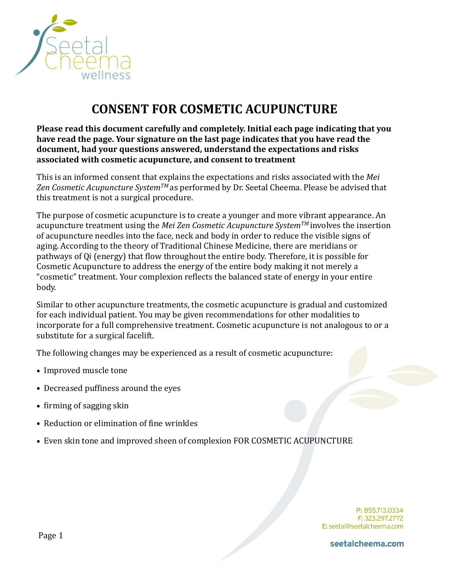

# **CONSENT FOR COSMETIC ACUPUNCTURE**

**Please read this document carefully and completely. Initial each page indicating that you** have read the page. Your signature on the last page indicates that you have read the document, had your questions answered, understand the expectations and risks associated with cosmetic acupuncture, and consent to treatment

This is an informed consent that explains the expectations and risks associated with the Mei Zen Cosmetic Acupuncture System<sup>TM</sup> as performed by Dr. Seetal Cheema. Please be advised that this treatment is not a surgical procedure.

The purpose of cosmetic acupuncture is to create a younger and more vibrant appearance. An acupuncture treatment using the *Mei Zen Cosmetic Acupuncture System<sup>TM</sup>* involves the insertion of acupuncture needles into the face, neck and body in order to reduce the visible signs of aging. According to the theory of Traditional Chinese Medicine, there are meridians or pathways of Qi (energy) that flow throughout the entire body. Therefore, it is possible for Cosmetic Acupuncture to address the energy of the entire body making it not merely a "cosmetic" treatment. Your complexion reflects the balanced state of energy in your entire body. 

Similar to other acupuncture treatments, the cosmetic acupuncture is gradual and customized for each individual patient. You may be given recommendations for other modalities to incorporate for a full comprehensive treatment. Cosmetic acupuncture is not analogous to or a substitute for a surgical facelift.

The following changes may be experienced as a result of cosmetic acupuncture:

- Improved muscle tone
- Decreased puffiness around the eyes
- firming of sagging skin
- Reduction or elimination of fine wrinkles
- Even skin tone and improved sheen of complexion FOR COSMETIC ACUPUNCTURE

P: 855.713.0334 F: 323.297.2772 E: seetal@seetalcheema.com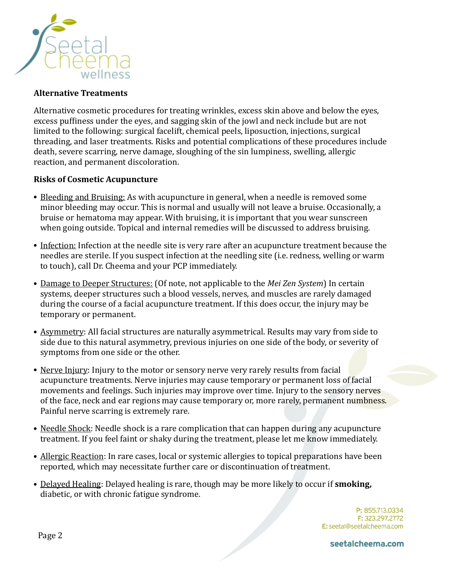

## **Alternative Treatments**

Alternative cosmetic procedures for treating wrinkles, excess skin above and below the eyes, excess puffiness under the eyes, and sagging skin of the jowl and neck include but are not limited to the following: surgical facelift, chemical peels, liposuction, injections, surgical threading, and laser treatments. Risks and potential complications of these procedures include death, severe scarring, nerve damage, sloughing of the sin lumpiness, swelling, allergic reaction, and permanent discoloration.

## **Risks of Cosmetic Acupuncture**

- Bleeding and Bruising: As with acupuncture in general, when a needle is removed some minor bleeding may occur. This is normal and usually will not leave a bruise. Occasionally, a bruise or hematoma may appear. With bruising, it is important that you wear sunscreen when going outside. Topical and internal remedies will be discussed to address bruising.
- Infection: Infection at the needle site is very rare after an acupuncture treatment because the needles are sterile. If you suspect infection at the needling site (i.e. redness, welling or warm to touch), call Dr. Cheema and your PCP immediately.
- Damage to Deeper Structures: (Of note, not applicable to the *Mei Zen System*) In certain systems, deeper structures such a blood vessels, nerves, and muscles are rarely damaged during the course of a facial acupuncture treatment. If this does occur, the injury may be temporary or permanent.
- Asymmetry: All facial structures are naturally asymmetrical. Results may vary from side to side due to this natural asymmetry, previous injuries on one side of the body, or severity of symptoms from one side or the other.
- Nerve Injury: Injury to the motor or sensory nerve very rarely results from facial acupuncture treatments. Nerve injuries may cause temporary or permanent loss of facial movements and feelings. Such injuries may improve over time. Injury to the sensory nerves of the face, neck and ear regions may cause temporary or, more rarely, permanent numbness. Painful nerve scarring is extremely rare.
- Needle Shock: Needle shock is a rare complication that can happen during any acupuncture treatment. If you feel faint or shaky during the treatment, please let me know immediately.
- Allergic Reaction: In rare cases, local or systemic allergies to topical preparations have been reported, which may necessitate further care or discontinuation of treatment.
- Delayed Healing: Delayed healing is rare, though may be more likely to occur if **smoking**, diabetic, or with chronic fatigue syndrome.

P: 855.713.0334 F: 323.297.2772 E: seetal@seetalcheema.com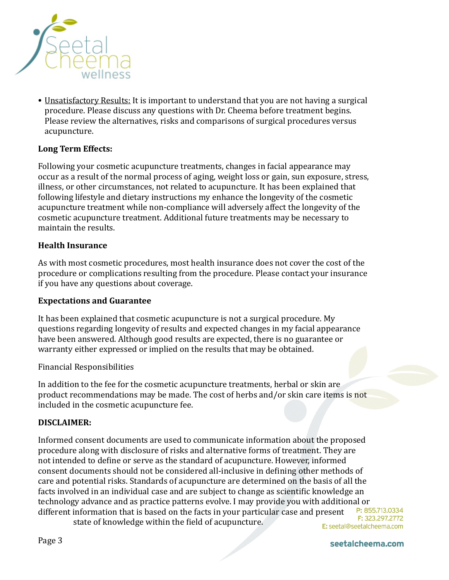

• Unsatisfactory Results: It is important to understand that you are not having a surgical procedure. Please discuss any questions with Dr. Cheema before treatment begins. Please review the alternatives, risks and comparisons of surgical procedures versus acupuncture.

# Long Term Effects:

Following your cosmetic acupuncture treatments, changes in facial appearance may occur as a result of the normal process of aging, weight loss or gain, sun exposure, stress, illness, or other circumstances, not related to acupuncture. It has been explained that following lifestyle and dietary instructions my enhance the longevity of the cosmetic acupuncture treatment while non-compliance will adversely affect the longevity of the cosmetic acupuncture treatment. Additional future treatments may be necessary to maintain the results.

## **Health Insurance**

As with most cosmetic procedures, most health insurance does not cover the cost of the procedure or complications resulting from the procedure. Please contact your insurance if you have any questions about coverage.

#### **Expectations and Guarantee**

It has been explained that cosmetic acupuncture is not a surgical procedure. My questions regarding longevity of results and expected changes in my facial appearance have been answered. Although good results are expected, there is no guarantee or warranty either expressed or implied on the results that may be obtained.

Financial Responsibilities 

In addition to the fee for the cosmetic acupuncture treatments, herbal or skin are product recommendations may be made. The cost of herbs and/or skin care items is not included in the cosmetic acupuncture fee.

## **DISCLAIMER:**

Informed consent documents are used to communicate information about the proposed procedure along with disclosure of risks and alternative forms of treatment. They are not intended to define or serve as the standard of acupuncture. However, informed consent documents should not be considered all-inclusive in defining other methods of care and potential risks. Standards of acupuncture are determined on the basis of all the facts involved in an individual case and are subject to change as scientific knowledge an technology advance and as practice patterns evolve. I may provide you with additional or P: 855.713.0334 different information that is based on the facts in your particular case and present F: 323.297.2772 state of knowledge within the field of acupuncture.

E: seetal@seetalcheema.com